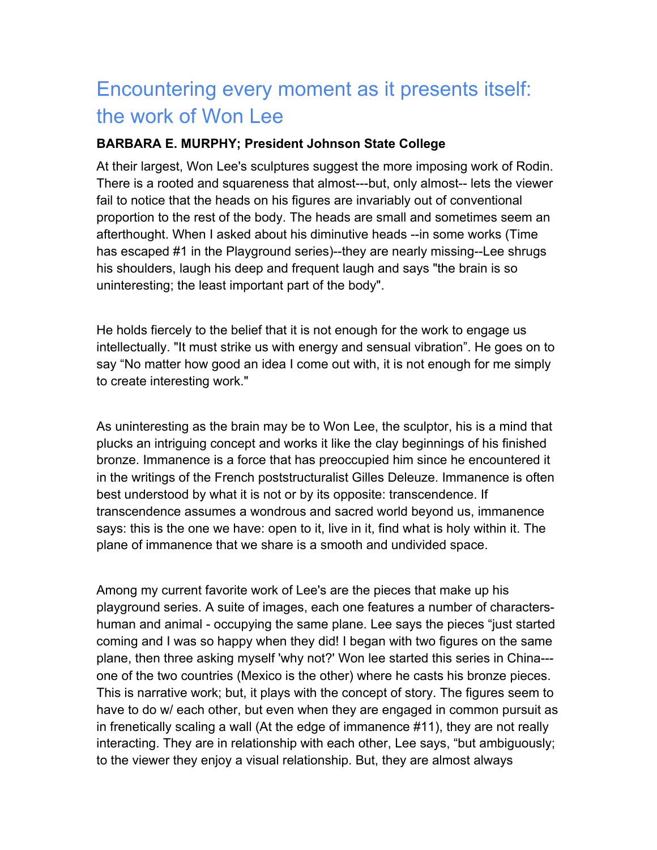## Encountering every moment as it presents itself: the work of Won Lee

## **BARBARA E. MURPHY; President Johnson State College**

At their largest, Won Lee's sculptures suggest the more imposing work of Rodin. There is a rooted and squareness that almost---but, only almost-- lets the viewer fail to notice that the heads on his figures are invariably out of conventional proportion to the rest of the body. The heads are small and sometimes seem an afterthought. When I asked about his diminutive heads --in some works (Time has escaped #1 in the Playground series)--they are nearly missing--Lee shrugs his shoulders, laugh his deep and frequent laugh and says "the brain is so uninteresting; the least important part of the body".

He holds fiercely to the belief that it is not enough for the work to engage us intellectually. "It must strike us with energy and sensual vibration". He goes on to say "No matter how good an idea I come out with, it is not enough for me simply to create interesting work."

As uninteresting as the brain may be to Won Lee, the sculptor, his is a mind that plucks an intriguing concept and works it like the clay beginnings of his finished bronze. Immanence is a force that has preoccupied him since he encountered it in the writings of the French poststructuralist Gilles Deleuze. Immanence is often best understood by what it is not or by its opposite: transcendence. If transcendence assumes a wondrous and sacred world beyond us, immanence says: this is the one we have: open to it, live in it, find what is holy within it. The plane of immanence that we share is a smooth and undivided space.

Among my current favorite work of Lee's are the pieces that make up his playground series. A suite of images, each one features a number of charactershuman and animal - occupying the same plane. Lee says the pieces "just started coming and I was so happy when they did! I began with two figures on the same plane, then three asking myself 'why not?' Won lee started this series in China-- one of the two countries (Mexico is the other) where he casts his bronze pieces. This is narrative work; but, it plays with the concept of story. The figures seem to have to do w/ each other, but even when they are engaged in common pursuit as in frenetically scaling a wall (At the edge of immanence #11), they are not really interacting. They are in relationship with each other, Lee says, "but ambiguously; to the viewer they enjoy a visual relationship. But, they are almost always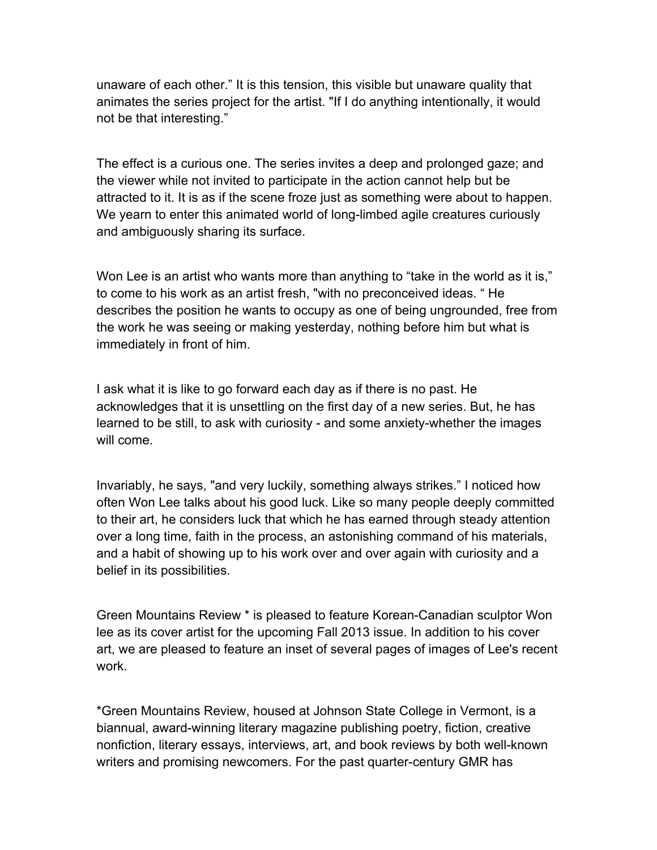unaware of each other." It is this tension, this visible but unaware quality that animates the series project for the artist. "If I do anything intentionally, it would not be that interesting."

The effect is a curious one. The series invites a deep and prolonged gaze; and the viewer while not invited to participate in the action cannot help but be attracted to it. It is as if the scene froze just as something were about to happen. We yearn to enter this animated world of long-limbed agile creatures curiously and ambiguously sharing its surface.

Won Lee is an artist who wants more than anything to "take in the world as it is," to come to his work as an artist fresh, "with no preconceived ideas. " He describes the position he wants to occupy as one of being ungrounded, free from the work he was seeing or making yesterday, nothing before him but what is immediately in front of him.

I ask what it is like to go forward each day as if there is no past. He acknowledges that it is unsettling on the first day of a new series. But, he has learned to be still, to ask with curiosity - and some anxiety-whether the images will come.

Invariably, he says, "and very luckily, something always strikes." I noticed how often Won Lee talks about his good luck. Like so many people deeply committed to their art, he considers luck that which he has earned through steady attention over a long time, faith in the process, an astonishing command of his materials, and a habit of showing up to his work over and over again with curiosity and a belief in its possibilities.

Green Mountains Review \* is pleased to feature Korean-Canadian sculptor Won lee as its cover artist for the upcoming Fall 2013 issue. In addition to his cover art, we are pleased to feature an inset of several pages of images of Lee's recent work.

\*Green Mountains Review, housed at Johnson State College in Vermont, is a biannual, award-winning literary magazine publishing poetry, fiction, creative nonfiction, literary essays, interviews, art, and book reviews by both well-known writers and promising newcomers. For the past quarter-century GMR has